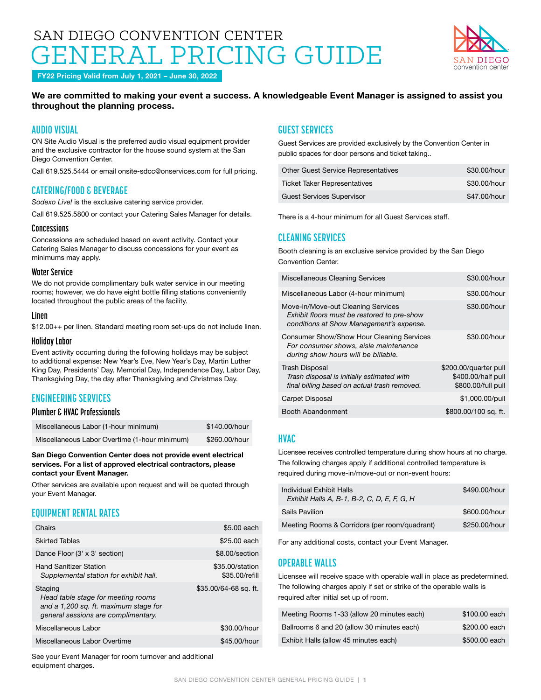# SAN DIEGO CONVENTION CENTER ERAL PRICING GUIDE



FY22 Pricing Valid from July 1, 2021 – June 30, 2022

### We are committed to making your event a success. A knowledgeable Event Manager is assigned to assist you throughout the planning process.

# **AUDIO VISUAL**

ON Site Audio Visual is the preferred audio visual equipment provider and the exclusive contractor for the house sound system at the San Diego Convention Center.

Call 619.525.5444 or email [onsite-sdcc@onservices.com](mailto:onsite-sdcc%40onservices.com?subject=) for full pricing.

## **CATERING/FOOD & BEVERAGE**

*Sodexo Live!* is the exclusive catering service provider.

Call 619.525.5800 or contact your Catering Sales Manager for details.

#### **Concessions**

Concessions are scheduled based on event activity. Contact your Catering Sales Manager to discuss concessions for your event as minimums may apply.

#### **Water Service**

We do not provide complimentary bulk water service in our meeting rooms; however, we do have eight bottle filling stations conveniently located throughout the public areas of the facility.

#### **Linen**

\$12.00++ per linen. Standard meeting room set-ups do not include linen.

#### **Holiday Labor**

Event activity occurring during the following holidays may be subject to additional expense: New Year's Eve, New Year's Day, Martin Luther King Day, Presidents' Day, Memorial Day, Independence Day, Labor Day, Thanksgiving Day, the day after Thanksgiving and Christmas Day.

# **ENGINEERING SERVICES**

#### **Plumber & HVAC Professionals**

| Miscellaneous Labor (1-hour minimum)          | \$140.00/hour |
|-----------------------------------------------|---------------|
| Miscellaneous Labor Overtime (1-hour minimum) | \$260.00/hour |

San Diego Convention Center does not provide event electrical services. For a list of approved electrical contractors, please contact your Event Manager.

Other services are available upon request and will be quoted through your Event Manager.

# **EQUIPMENT RENTAL RATES**

| Chairs                                                                                                                        | \$5.00 each                       |
|-------------------------------------------------------------------------------------------------------------------------------|-----------------------------------|
| <b>Skirted Tables</b>                                                                                                         | \$25.00 each                      |
| Dance Floor (3' x 3' section)                                                                                                 | \$8.00/section                    |
| <b>Hand Sanitizer Station</b><br>Supplemental station for exhibit hall.                                                       | \$35,00/station<br>\$35.00/refill |
| Staging<br>Head table stage for meeting rooms<br>and a 1,200 sq. ft. maximum stage for<br>general sessions are complimentary. | \$35.00/64-68 sq. ft.             |
| Miscellaneous Labor                                                                                                           | \$30,00/hour                      |
| Miscellaneous Labor Overtime                                                                                                  | \$45,00/hour                      |

See your Event Manager for room turnover and additional equipment charges.

# **GUEST SERVICES**

Guest Services are provided exclusively by the Convention Center in public spaces for door persons and ticket taking..

| Other Guest Service Representatives | \$30.00/hour |
|-------------------------------------|--------------|
| <b>Ticket Taker Representatives</b> | \$30.00/hour |
| Guest Services Supervisor           | \$47,00/hour |

There is a 4-hour minimum for all Guest Services staff.

# **CLEANING SERVICES**

Booth cleaning is an exclusive service provided by the San Diego Convention Center.

| Miscellaneous Cleaning Services                                                                                                  | \$30,00/hour                                                      |
|----------------------------------------------------------------------------------------------------------------------------------|-------------------------------------------------------------------|
| Miscellaneous Labor (4-hour minimum)                                                                                             | \$30,00/hour                                                      |
| Move-in/Move-out Cleaning Services<br>Exhibit floors must be restored to pre-show<br>conditions at Show Management's expense.    | \$30,00/hour                                                      |
| <b>Consumer Show/Show Hour Cleaning Services</b><br>For consumer shows, aisle maintenance<br>during show hours will be billable. | \$30,00/hour                                                      |
| <b>Trash Disposal</b><br>Trash disposal is initially estimated with<br>final billing based on actual trash removed.              | \$200.00/quarter pull<br>\$400.00/half pull<br>\$800.00/full pull |
| Carpet Disposal                                                                                                                  | \$1,000.00/pull                                                   |
| Booth Abandonment                                                                                                                | \$800.00/100 sq. ft.                                              |

### **HVAC**

Licensee receives controlled temperature during show hours at no charge. The following charges apply if additional controlled temperature is required during move-in/move-out or non-event hours:

| Individual Exhibit Halls<br>Exhibit Halls A, B-1, B-2, C, D, E, F, G, H | \$490,00/hour |
|-------------------------------------------------------------------------|---------------|
| <b>Sails Pavilion</b>                                                   | \$600,00/hour |
| Meeting Rooms & Corridors (per room/quadrant)                           | \$250,00/hour |

For any additional costs, contact your Event Manager.

### **OPERABLE WALLS**

Licensee will receive space with operable wall in place as predetermined. The following charges apply if set or strike of the operable walls is required after initial set up of room.

| Meeting Rooms 1-33 (allow 20 minutes each) | \$100,00 each |
|--------------------------------------------|---------------|
| Ballrooms 6 and 20 (allow 30 minutes each) | \$200,00 each |
| Exhibit Halls (allow 45 minutes each)      | \$500,00 each |